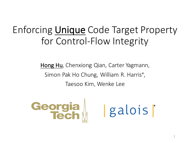#### Enforcing **Unique** Code Target Property for Control-Flow Integrity

Hong Hu, Chenxiong Qian, Carter Yagmann, Simon Pak Ho Chung, William R. Harris<sup>\*</sup>, Taesoo Kim, Wenke Lee

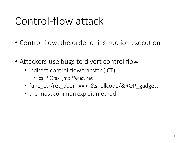## Control-flow attack

- Control-flow: the order of instruction execution
- Attackers use bugs to divert control flow
	- indirect control-flow transfer (ICT):
		- call \*%rax, jmp \*%rax, ret
	- func\_ptr/ret\_addr ==> &shellcode/&ROP\_gadgets
	- the most common exploit method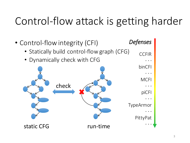## Control-flow attack is getting harder

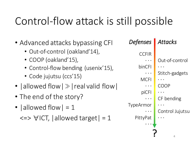## Control-flow attack is still possible

- Advanced attacks bypassing CFI
	- Out-of-control (oakland'14),
	- COOP (oakland'15),
	- Control-flow bending (usenix'15),
	- Code jujutsu (ccs'15)
- | allowed flow  $|\gg|$  real valid flow |
- The end of the story?
- $|$  allowed flow  $| = 1$

 $\langle \Rightarrow \forall$ ICT, | allowed target = 1

? *Defenses* **CCFIR** · · · binCFI  $\cdot\cdot\cdot$ **MCFI** · · · piCFI · · · TypeArmor · · · PittyPat · · · *Attacks* Out-of-control · · · Stitch-gadgets · · · COOP · · · CF bending · · · Control Jujutsu · · ·

4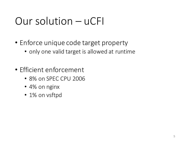### Our solution – uCFI

- Enforce unique code target property
	- only one valid target is allowed at runtime
- Efficient enforcement
	- 8% on SPEC CPU 2006
	- 4% on nginx
	- 1% on vsftpd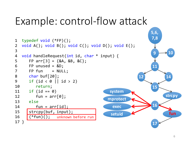#### Example: control-flow attack

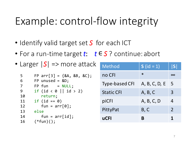### Example: control-flow integrity

- Identify valid target set S for each ICT
- For a run-time target *t*:  $t \in S$ ? continue: abort

|                     | • Larger $ S  \Rightarrow$ more attack          | Method            | <b>S</b> (id = 1) | S              |
|---------------------|-------------------------------------------------|-------------------|-------------------|----------------|
| 5                   | FP arr[3] = $\{8A, 8B, 8C\}$ ;                  | no CFI            | $\ast$            | $\infty$       |
| 6<br>$\overline{7}$ | FP unused = $&D;$<br>$FP$ fun = $NULL$ ;        | Type-based CFI    | A, B, C, D, E 5   |                |
| 9<br>10             | if (id $\langle \theta  $ id $> 2$ )<br>return; | <b>Static CFI</b> | A, B, C           | $\overline{3}$ |
| 11                  | if $(id == 0)$                                  | piCFI             | A, B, C, D        | $\overline{4}$ |
| 12<br>13<br>else    | $fun = arr[0];$                                 | PittyPat          | B, C              | $\overline{2}$ |
| 14<br>16            | $fun = arr(id];$<br>$(*fun)($ ;                 | <b>uCFI</b>       | B                 |                |
|                     |                                                 |                   |                   |                |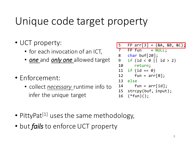### Unique code target property

- UCT property:
	- for each invocation of an ICT,
	- **one** and **only one** allowed target
- Enforcement:
	- collect *necessary* runtime info to infer the unique target

| 5              | FP arr[3] = $\{RA, RB, AC\}$ ; |
|----------------|--------------------------------|
| $\overline{7}$ | $FP$ fun = $NULL$ ;            |
| 8              | char buf $[20]$ ;              |
| 9              | if (id < 0    id > 2)          |
| 10             | return;                        |
| 11             | if $(id == 0)$                 |
| 12             | $fun = arr[0];$                |
| 13             | else                           |
| 14             | $fun = arr(id];$               |
|                | 15 strcpy(buf, input);         |
| 16             | $(*fun)($ ;                    |

- PittyPat<sup>[1]</sup> uses the same methodology,
- but *fails* to enforce UCT property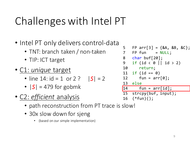# Challenges with Intel PT

- Intel PT only delivers control-data
	- TNT: branch taken / non-taken
	- TIP: ICT target
- C1: *unique* target
	- line  $14$ : id = 1 or  $2$  ?  $|S| = 2$
	- $|S| = 479$  for gobmk
- C2: *efficient* analysis
	- path reconstruction from PT trace is slow!
	- 30x slow down for sjeng
		- (based on our simple implementation)

5 FP arr $[3] = \{8A, 8B, 8C\}$ ; 7 FP fun = NULL; 8 char buf[20]; 9 if  $(id < 0 |$  id  $> 2)$ 10 return; 11 if  $(id == 0)$ 12 fun =  $arr[0]$ ; 13 else 14 fun =  $arr(id)$ ; 15 strcpy(buf, input); 16 (\*fun)();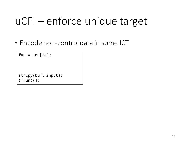• Encode non-control data in some ICT

```
fun = arr(id];
strcpy(buf, input); 
(*fun)();
```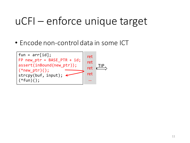• Encode non-control data in some ICT

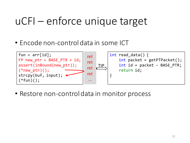• Encode non-control data in some ICT



• Restore non-control data in monitor process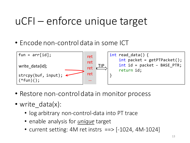• Encode non-control data in some ICT



- Restore non-control data in monitor process
- write data(x):
	- log arbitrary non-control-data into PT trace
	- enable analysis for *unique* target
	- current setting:  $4M$  ret instrs  $==$  [-1024,  $4M$ -1024]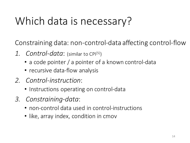## Which data is necessary?

Constraining data: non-control-data affecting control-flow

- 1. *Control-data*: (similar to CPI<sup>[5]</sup>)
	- a code pointer / a pointer of a known control-data
	- recursive data-flow analysis
- *2. Control-instruction*:
	- Instructions operating on control-data
- *3. Constraining-data*:
	- non-control data used in control-instructions
	- like, array index, condition in cmov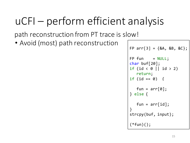path reconstruction from PT trace is slow!

• Avoid (most) path reconstruction

```
FP arr[3] = \{8A, 8B, 8C\};FP fun = NULL;char buf[20]; 
if (id \langle 0 \rangle || id > 2)
   return; 
if (id == 0) {
   fun = arr[0];} else {
   fun = arr-id;}
strcpy(buf, input); 
(*fun)(;
```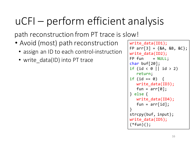path reconstruction from PT trace is slow!

- Avoid (most) path reconstruction
	- assign an ID to each control-instruction
	- write data(ID) into PT trace

```
write data(ID1);
FP arr[3] = \{&A, \&B, \&C\};write data(ID2);
FP fun = NULL;char buf[20]; 
if (id \langle 0 \rangle || id > 2)
   return; 
if (id == 0) {
   write_data(ID3);
   fun = arr[0];
} else {
   write data(ID4);
   fun = arr-id;}
strcpy(buf, input); 
write data(ID5);
(*fun)(;
```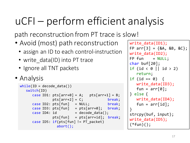path reconstruction from PT trace is slow!

- Avoid (most) path reconstruction
	- assign an ID to each control-instruction
	- write data(ID) into PT trace
	- Ignore all TNT packets
- Analysis

```
while(ID = decode data())switch(ID)
     case ID1: pts[arr+0] = A; pts[arr+1] = B;
              pts[arr+2] = C; break;
     case ID2: pts[fun] = NULL; break;
     case ID3: pts[fun] = pts[arr+0]; break;
     case ID4: id = decode data();pts[fun] = pts[arr+id]; break;case ID5: if(pts[fun] != PT packet)abort();
```

```
write data(ID1);
FP arr[3] = \{8A, 8B, 8C\};write data(ID2);
FP fun = NULL;char buf[20]; 
if (id \langle 0 \rangle || id > 2)
   return; 
if (id == 0) {
   write_data(ID3);
   fun = arr[0];} else {
   write data(ID4);
   fun = arr-id;}
strcpy(buf, input); 
write data(ID5);
(*fun)(;
```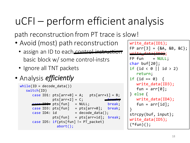path reconstruction from PT trace is slow!

- Avoid (most) path reconstruction
	- assign an ID to each control-instruction basic block w/ some control-instrs
	- Ignore all TNT packets
- Analysis *efficiently*

```
while(ID = decode data())switch(ID)
     case ID1: pts[arr+0] = A; pts[arr+1] = B;
               pts[arr+2] = C;\frac{1}{2} \frac{1}{2}: pts[fun] = NULL; break;
     case ID3: pts[fun] = pts[arr+0]; break;
     case ID4: id = decode data();pts[fun] = pts[arr+id]; break;case ID5: if(pts[fun] != PT packet)abort();
```

```
write data(ID1);
FP arr[3] = \{8A, 8B, 8C\};write_data(ID2);
FP fun = NULL;char buf[20]; 
if (id \langle 0 \rangle || id > 2)
   return; 
if (id == 0) {
   write_data(ID3);
   fun = arr[0];} else {
   write data(ID4);
   fun = arr-id;}
strcpy(buf, input); 
write data(ID5);
(*fun)(;
```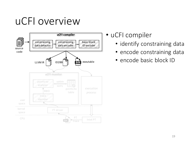### uCFI overview



- uCFI compiler
	- identify constraining data
	- encode constraining data
	- encode basic block ID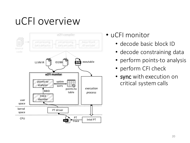## uCFI overview



• uCFI monitor

- decode basic block ID
- decode constraining data
- perform points-to analysis
- perform CFI check
- sync with execution on critical system calls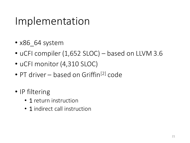### Implementation

- x86 64 system
- uCFI compiler  $(1,652$  SLOC) based on LLVM 3.6
- uCFI monitor (4,310 SLOC)
- PT driver based on Griffin<sup>[2]</sup> code
- IP filtering
	- 1 return instruction
	- 1 indirect call instruction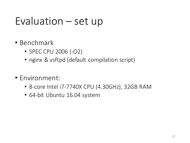#### $E$ valuation  $-$  set up

- Benchmark
	- SPEC CPU 2006 (-O2)
	- nginx & vsftpd (default compilation script)
- Environment:
	- 8-core Intel i7-7740X CPU (4.30GHz), 32GB RAM
	- 64-bit Ubuntu 16.04 system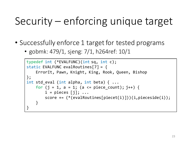## Security  $-$  enforcing unique target

- Successfully enforce 1 target for tested programs
	- gobmk: 479/1, sjeng:  $7/1$ , h264ref: 10/1

```
typedef int (*EVALFUNC)(int sq, int c); 
static EVALFUNC evalRoutines[7] = { 
    ErrorIt, Pawn, Knight, King, Rook, Queen, Bishop 
}; 
int std_eval (int alpha, int beta) { ...
    for (j = 1, a = 1; (a \leq piece count); j++) {
        i = pieces [j]; ...
        score += (*(evalRoutines[piecet(i)]))(i,pieceside(i)); 
    }
}
```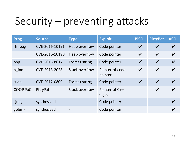## Security – preventing attacks

| <b>Prog</b>     | <b>Source</b>  | <b>Type</b>           | <b>Exploit</b>             | <b>PiCFI</b>               | <b>PittyPat</b>            | <b>uCFI</b>                |
|-----------------|----------------|-----------------------|----------------------------|----------------------------|----------------------------|----------------------------|
| ffmpeg          | CVE-2016-10191 | Heap overflow         | Code pointer               | $\boldsymbol{\mathcal{U}}$ | $\boldsymbol{\mathcal{U}}$ | $\boldsymbol{\nu}$         |
|                 | CVE-2016-10190 | Heap overflow         | Code pointer               | $\boldsymbol{\mathcal{U}}$ | $\boldsymbol{\mathcal{U}}$ | $\boldsymbol{\mathcal{U}}$ |
| php             | CVE-2015-8617  | Format string         | Code pointer               | $\boldsymbol{\mathcal{U}}$ | $\boldsymbol{\mathcal{U}}$ | $\boldsymbol{\nu}$         |
| nginx           | CVE-2013-2028  | Stack overflow        | Pointer of code<br>pointer | $\boldsymbol{\nu}$         | $\boldsymbol{\mathcal{U}}$ | $\boldsymbol{\nu}$         |
| sudo            | CVE-2012-0809  | Format string         | Code pointer               | $\boldsymbol{\mathcal{U}}$ | $\boldsymbol{\nu}$         | $\boldsymbol{\mathcal{U}}$ |
| <b>COOP PoC</b> | PittyPat       | <b>Stack overflow</b> | Pointer of C++<br>object   |                            | $\boldsymbol{\mathcal{U}}$ | $\boldsymbol{\nu}$         |
| sjeng           | synthesized    |                       | Code pointer               |                            |                            | $\boldsymbol{\nu}$         |
| gobmk           | synthesized    |                       | Code pointer               |                            |                            |                            |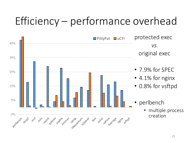## Efficiency – performance overhead

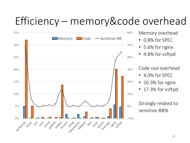### Efficiency – memory&code overhead

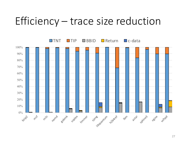#### Efficiency – trace size reduction

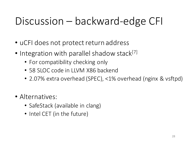## Discussion – backward-edge CFI

- uCFI does not protect return address
- Integration with parallel shadow stack $[7]$ 
	- For compatibility checking only
	- 58 SLOC code in LLVM X86 backend
	- 2.07% extra overhead (SPEC), <1% overhead (nginx & vsftpd)
- Alternatives:
	- SafeStack (available in clang)
	- Intel CET (in the future)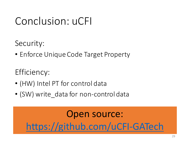### Conclusion: uCFI

Security: 

• Enforce Unique Code Target Property

Efficiency:

- (HW) Intel PT for control data
- (SW) write data for non-control data

**PTWRITEE** instruction  $\blacksquare$ https://github.com/uCFI-GATech Open source: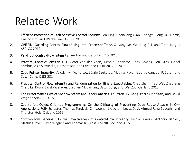### Related Work

- 1. Efficient Protection of Path-Sensitive Control Security. Ren Ding, Chenxiong Qian, Chengyu Song, Bill Harris, Taesoo Kim, and Wenke Lee. USENIX 2017.
- 2. GRIFFIN: Guarding Control Flows Using Intel Processor Trace. Xinyang Ge, Weidong Cui, and Trent Jaeger. ASPLOS 2017.
- 3. Per-Input Control-Flow Integrity.Ben Niu and Gang Tan. CCS 2015.
- 4. Practical Context-Sensitive CFI. Victor van der Veen, Dennis Andriesse, Enes Göktaş, Ben Gras, Lionel Sambuc, Asia Slowinska, Herbert Bos, and Cristiano Giuffrida. CCS 2015.
- 5. Code-Pointer Integrity. Volodymyr Kuznetsov, László Szekeres, Mathias Payer, George Candea, R. Sekar, and Dawn Song. OSDI 2014.
- 6. Practical Control Flow Integrity and Randomization for Binary Executables. Chao Zhang, Tao Wei, Zhaofeng Chen, Lei Duan, LaszloSzekeres, Stephen McCamant, Dawn Song, and Wei Zou. Oakland 2013.
- 7. The Performance Cost of Shadow Stacks and Stack Canaries. Thurston H.Y. Dang, Petros Maniatis, and David Wagner. AsiaCCS 2015.
- 8. Counterfeit Object-Oriented Programming: On the Difficulty of Preventing Code Reuse Attacks in C++ Applications. Felix Schuster, Thomas Tendyck, Christopher Liebchen, Lucas Davi, Ahmad-Reza Sadeghi, and Thorsten Holz. Oakland 2015.
- 9. Control-Flow Bending: On the Effectiveness of Control-Flow Integrity. Nicolas Carlini, Antonio Barresi, Mathias Payer,David Wagner,and Thomas R. Gross. USENIX Security 2015.